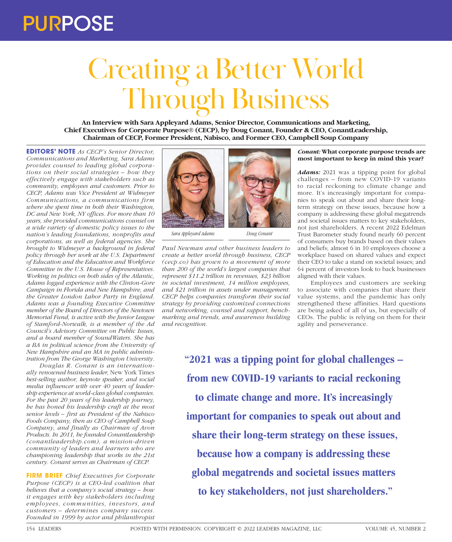# Creating a Better World Through Business

**An Interview with Sara Appleyard Adams, Senior Director, Communications and Marketing, Chief Executives for Corporate Purpose® (CECP), by Doug Conant, Founder & CEO, ConantLeadership, Chairman of CECP, Former President, Nabisco, and Former CEO, Campbell Soup Company**

**EDITORS' NOTE** *As CECP's Senior Director, Communications and Marketing, Sara Adams provides counsel to leading global corporations on their social strategies – how they effectively engage with stakeholders such as community, employees and customers. Prior to CECP, Adams was Vice President at Widmeyer Communications, a communications firm where she spent time in both their Washington, DC and New York, NY offices. For more than 10 years, she provided communications counsel on a wide variety of domestic policy issues to the nation's leading foundations, nonprofits and corporations, as well as federal agencies. She brought to Widmeyer a background in federal policy through her work at the U.S. Department of Education and the Education and Workforce Committee in the U.S. House of Representatives. Working in politics on both sides of the Atlantic, Adams logged experience with the Clinton-Gore Campaign in Florida and New Hampshire, and the Greater London Labor Party in England. Adams was a founding Executive Committee member of the Board of Directors of the Newtown Memorial Fund, is active with the Junior League of Stamford-Norwalk, is a member of the Ad Council's Advisory Committee on Public Issues, and a board member of SoundWaters. She has a BA in political science from the University of New Hampshire and an MA in public administration from The George Washington University.*

*Douglas R. Conant is an internationally renowned business leader,* New York Times *best-selling author, keynote speaker, and social media influencer with over 40 years of leadership experience at world-class global companies. For the past 20 years of his leadership journey, he has honed his leadership craft at the most senior levels – first as President of the Nabisco Foods Company, then as CEO of Campbell Soup Company, and finally as Chairman of Avon Products. In 2011, he founded ConantLeadership (conantleadership.com), a mission-driven community of leaders and learners who are championing leadership that works in the 21st century. Conant serves as Chairman of CECP.*

**FIRM BRIEF** *Chief Executives for Corporate Purpose (CECP) is a CEO-led coalition that believes that a company's social strategy – how it engages with key stakeholders including employees, communities, investors, and customers – determines company success. Founded in 1999 by actor and philanthropist* 





*Sara Appleyard Adams Doug Conant*

*Paul Newman and other business leaders to create a better world through business, CECP (cecp.co) has grown to a movement of more than 200 of the world's largest companies that represent \$11.2 trillion in revenues, \$23 billion in societal investment, 14 million employees, and \$21 trillion in assets under management. CECP helps companies transform their social strategy by providing customized connections and networking, counsel and support, benchmarking and trends, and awareness building and recognition.*

### *Conant:* **What corporate purpose trends are most important to keep in mind this year?**

*Adams:* 2021 was a tipping point for global challenges – from new COVID-19 variants to racial reckoning to climate change and more. It's increasingly important for companies to speak out about and share their longterm strategy on these issues, because how a company is addressing these global megatrends and societal issues matters to key stakeholders, not just shareholders. A recent 2022 Edelman Trust Barometer study found nearly 60 percent of consumers buy brands based on their values and beliefs; almost 6 in 10 employees choose a workplace based on shared values and expect their CEO to take a stand on societal issues; and 64 percent of investors look to back businesses aligned with their values.

Employees and customers are seeking to associate with companies that share their value systems, and the pandemic has only strengthened these affinities. Hard questions are being asked of all of us, but especially of CEOs. The public is relying on them for their agility and perseverance.

**"2021 was a tipping point for global challenges – from new COVID-19 variants to racial reckoning to climate change and more. It's increasingly important for companies to speak out about and share their long-term strategy on these issues, because how a company is addressing these global megatrends and societal issues matters to key stakeholders, not just shareholders."**